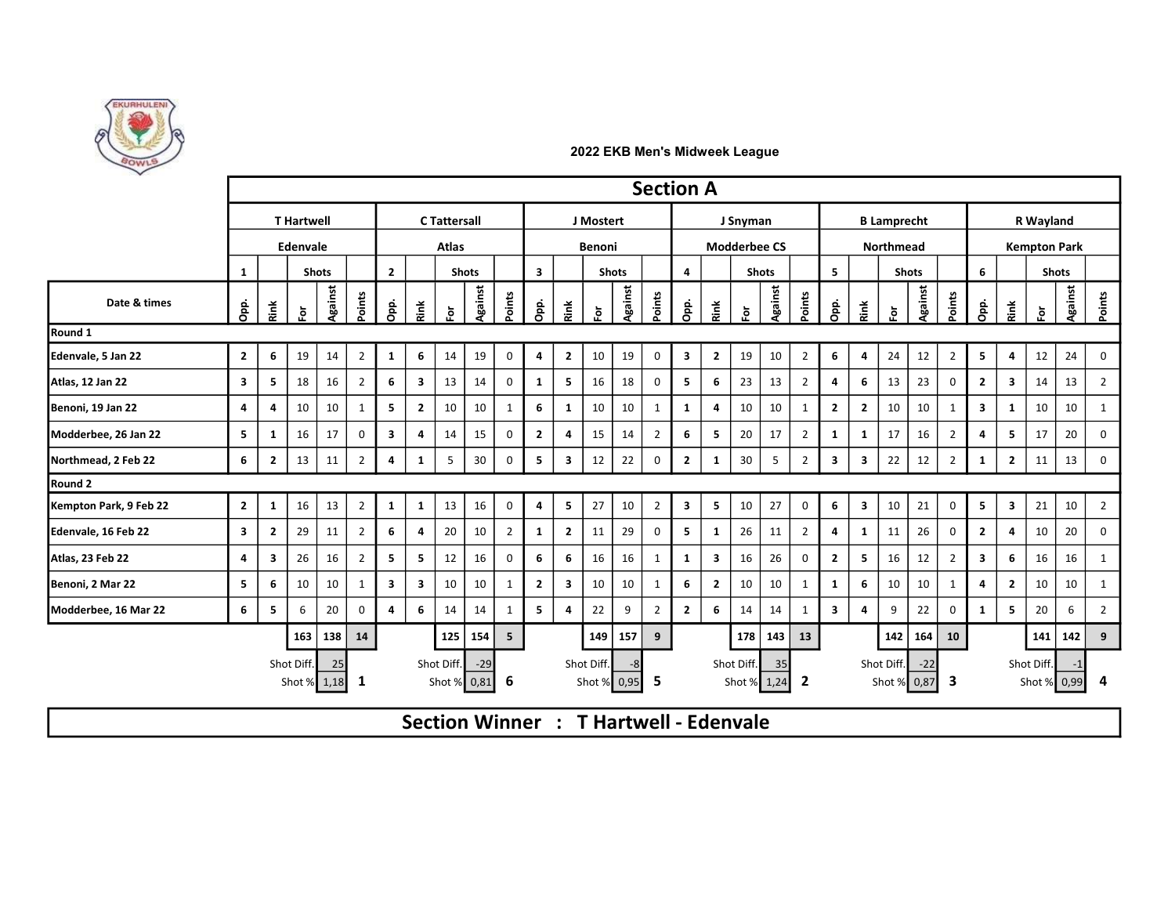

|                        |                         |                         |                           |              |                |                         |                         |                     |                          |                |                         |                         |                           |              | <b>Section A</b> |                         |                                        |                |                       |                |                         |                         |                    |                      |                         |                |                         |                           |                     |                |  |  |  |  |
|------------------------|-------------------------|-------------------------|---------------------------|--------------|----------------|-------------------------|-------------------------|---------------------|--------------------------|----------------|-------------------------|-------------------------|---------------------------|--------------|------------------|-------------------------|----------------------------------------|----------------|-----------------------|----------------|-------------------------|-------------------------|--------------------|----------------------|-------------------------|----------------|-------------------------|---------------------------|---------------------|----------------|--|--|--|--|
|                        |                         |                         | <b>T</b> Hartwell         |              |                |                         |                         | <b>C</b> Tattersall |                          |                |                         |                         | J Mostert                 |              |                  |                         |                                        | J Snyman       |                       |                |                         |                         | <b>B</b> Lamprecht |                      |                         |                |                         | R Wayland                 |                     |                |  |  |  |  |
|                        | Edenvale                |                         |                           |              |                | <b>Atlas</b>            |                         |                     |                          |                |                         | Benoni                  |                           |              |                  |                         | <b>Modderbee CS</b>                    |                |                       |                |                         |                         | <b>Northmead</b>   |                      |                         |                |                         |                           | <b>Kempton Park</b> |                |  |  |  |  |
|                        | 1                       |                         |                           | <b>Shots</b> |                | $\overline{2}$          |                         |                     | <b>Shots</b>             |                | $\overline{\mathbf{3}}$ |                         |                           | <b>Shots</b> |                  | $\overline{\mathbf{4}}$ |                                        |                | <b>Shots</b>          |                | 5 <sub>1</sub>          |                         |                    | <b>Shots</b>         |                         | 6              |                         |                           | <b>Shots</b>        |                |  |  |  |  |
| Date & times           | Opp.                    | Rink                    | $\bf \bar{e}$             | Against      | Points         | Opp.                    | Rink                    | ទ្                  | Against                  | Points         | Opp.                    | Rink                    | ğ.                        | Against      | Points           | Opp.                    | Řink                                   | $\overline{5}$ | Against               | oints          | å                       | Rink                    | Ğ.                 | Against              | <sup>2</sup> oints      | ago            | <b>Rink</b>             | ğ.                        | <b>Against</b>      | Points         |  |  |  |  |
| Round 1                |                         |                         |                           |              |                |                         |                         |                     |                          |                |                         |                         |                           |              |                  |                         |                                        |                |                       |                |                         |                         |                    |                      |                         |                |                         |                           |                     |                |  |  |  |  |
| Edenvale, 5 Jan 22     | $\overline{2}$          | 6                       | 19                        | 14           | $\overline{2}$ | $\mathbf{1}$            | 6                       | 14                  | 19                       | $\mathbf 0$    | 4                       | $\overline{2}$          | 10                        | 19           | 0                | $\mathbf{3}$            | $\overline{2}$                         | 19             | 10                    | $\overline{2}$ | 6                       | 4                       | 24                 | 12                   | $\overline{2}$          | 5              | $\overline{a}$          | 12                        | 24                  | $\mathbf 0$    |  |  |  |  |
| Atlas, 12 Jan 22       | $\overline{\mathbf{3}}$ | 5                       | 18                        | 16           | $\overline{2}$ | 6                       | $\overline{\mathbf{3}}$ | 13                  | 14                       | $\mathbf 0$    | $\mathbf{1}$            | 5                       | 16                        | 18           | 0                | 5                       | 6                                      | 23             | 13                    | $\overline{2}$ | 4                       | 6                       | 13                 | 23                   | $\mathbf 0$             | $\overline{2}$ | $\overline{\mathbf{3}}$ | 14                        | 13                  | $\overline{2}$ |  |  |  |  |
| Benoni, 19 Jan 22      | 4                       | $\overline{4}$          | 10                        | 10           | $\mathbf{1}$   | 5                       | $\overline{2}$          | 10                  | 10                       | 1              | 6                       | 1                       | 10                        | 10           | 1                | 1                       | $\overline{4}$                         | 10             | 10                    |                | $\overline{2}$          | $\mathbf{2}$            | 10                 | 10                   | $\mathbf{1}$            | 3              | 1                       | 10                        | 10                  |                |  |  |  |  |
| Modderbee, 26 Jan 22   | 5                       | 1                       | 16                        | 17           | $\mathbf 0$    | $\overline{\mathbf{3}}$ | 4                       | 14                  | 15                       | $\mathbf 0$    | $\mathbf{2}$            | 4                       | 15                        | 14           | $\overline{2}$   | 6                       | 5                                      | 20             | 17                    | $\overline{2}$ | $\mathbf{1}$            | 1                       | 17                 | 16                   | $\overline{2}$          | 4              | 5                       | 17                        | 20                  | 0              |  |  |  |  |
| Northmead, 2 Feb 22    | 6                       | $\overline{2}$          | 13                        | 11           | 2              | 4                       | 1                       | 5                   | 30                       | $\mathbf 0$    | 5                       | $\overline{\mathbf{3}}$ | 12                        | 22           | 0                | $\overline{2}$          | 1                                      | 30             | 5                     | $\overline{2}$ | $\mathbf{3}$            | $\overline{\mathbf{3}}$ | 22                 | 12                   | $\overline{2}$          | 1              | $\overline{2}$          | 11                        | 13                  | 0              |  |  |  |  |
| Round 2                |                         |                         |                           |              |                |                         |                         |                     |                          |                |                         |                         |                           |              |                  |                         |                                        |                |                       |                |                         |                         |                    |                      |                         |                |                         |                           |                     |                |  |  |  |  |
| Kempton Park, 9 Feb 22 | $\overline{2}$          | 1                       | 16                        | 13           | $\overline{2}$ | $\mathbf{1}$            | $\mathbf{1}$            | 13                  | 16                       | $\mathbf 0$    | $\overline{\mathbf{4}}$ | 5 <sub>1</sub>          | 27                        | 10           | $\overline{2}$   | $\overline{\mathbf{3}}$ | 5                                      | 10             | 27                    | $\mathbf 0$    | 6                       | $\mathbf{3}$            | 10                 | 21                   | $\mathbf 0$             | 5              | $\overline{\mathbf{3}}$ | 21                        | 10                  | 2              |  |  |  |  |
| Edenvale, 16 Feb 22    | $\overline{\mathbf{3}}$ | $\overline{2}$          | 29                        | 11           | 2              | 6                       | 4                       | 20                  | 10                       | $\overline{2}$ | $\mathbf{1}$            | $\overline{2}$          | 11                        | 29           | 0                | 5                       | $\mathbf{1}$                           | 26             | 11                    | $\overline{2}$ | 4                       | 1                       | 11                 | 26                   | $\mathbf 0$             | $\overline{2}$ | $\overline{4}$          | 10                        | 20                  | 0              |  |  |  |  |
| Atlas, 23 Feb 22       | 4                       | $\overline{\mathbf{3}}$ | 26                        | 16           | $\overline{2}$ | 5 <sub>1</sub>          | 5                       | 12                  | 16                       | $\mathbf 0$    | 6                       | 6                       | 16                        | 16           | $\mathbf{1}$     | $\mathbf{1}$            | $\overline{\mathbf{3}}$                | 16             | 26                    | $\Omega$       | $\overline{2}$          | 5                       | 16                 | 12                   | $\overline{2}$          | $\mathbf{3}$   | 6                       | 16                        | 16                  | -1             |  |  |  |  |
| Benoni, 2 Mar 22       | 5                       | - 6                     | 10                        | 10           | 1              | $\overline{\mathbf{3}}$ | $\overline{\mathbf{3}}$ | 10                  | 10                       | 1              | $\overline{2}$          | $\overline{\mathbf{3}}$ | 10                        | 10           | $\mathbf{1}$     | 6                       | $\overline{2}$                         | 10             | 10                    | 1              | $\mathbf{1}$            | 6                       | 10                 | 10                   | 1                       | 4              | $\overline{2}$          | 10                        | 10                  | 1              |  |  |  |  |
| Modderbee, 16 Mar 22   | 6                       | 5                       | 6                         | 20           | $\mathsf{o}$   | $\overline{a}$          | 6                       | 14                  | 14                       | 1              | 5                       | 4                       | 22                        | 9            | $\overline{2}$   | $\overline{2}$          | 6                                      | 14             | 14                    | -1             | $\overline{\mathbf{3}}$ | 4                       | 9                  | 22                   | 0                       | 1              | 5                       | 20                        | 6                   | $\overline{2}$ |  |  |  |  |
|                        |                         |                         | 163                       | 138          | 14             |                         |                         | 125                 | 154                      | 5 <sub>1</sub> |                         |                         | 149                       | 157          | 9                |                         |                                        |                | $178$ 143             | 13             |                         |                         | 142                | 164                  | 10                      |                |                         | 141                       | 142                 | 9              |  |  |  |  |
|                        |                         |                         | Shot Diff.<br>Shot % 1,18 | 25           | $\mathbf{1}$   |                         |                         | Shot Diff.          | $-29$<br>Shot % $0,81$ 6 |                |                         |                         | Shot Diff.<br>Shot % 0,95 | -8           | -5               |                         |                                        | Shot Diff.     | 35<br>Shot % $1,24$ 2 |                |                         |                         | Shot Diff.         | $-22$<br>Shot % 0,87 | $\overline{\mathbf{3}}$ |                |                         | Shot Diff.<br>Shot % 0,99 | $-1$                | 4              |  |  |  |  |
|                        |                         |                         |                           |              |                |                         |                         |                     |                          |                |                         |                         |                           |              |                  |                         | Section Winner : T Hartwell - Edenvale |                |                       |                |                         |                         |                    |                      |                         |                |                         |                           |                     |                |  |  |  |  |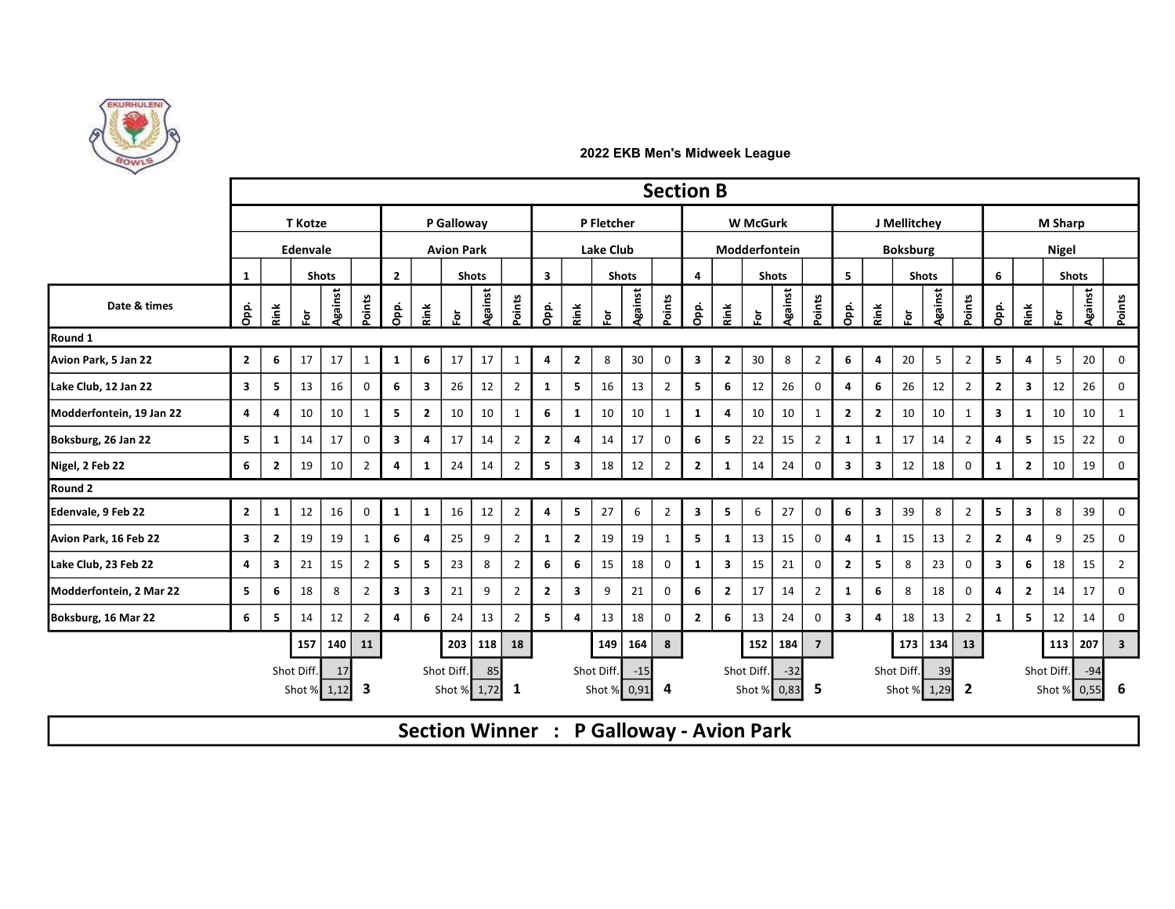

|                          |                                       |                         |               |              |                   |                         |                         |                    |                       |                |                         |                         |                           |              | <b>Section B</b> |                |                         |                           |              |                |                         |                         |               |                   |                |                         |                         |                |                      |                         |  |  |
|--------------------------|---------------------------------------|-------------------------|---------------|--------------|-------------------|-------------------------|-------------------------|--------------------|-----------------------|----------------|-------------------------|-------------------------|---------------------------|--------------|------------------|----------------|-------------------------|---------------------------|--------------|----------------|-------------------------|-------------------------|---------------|-------------------|----------------|-------------------------|-------------------------|----------------|----------------------|-------------------------|--|--|
|                          | <b>T</b> Kotze                        |                         |               |              |                   |                         |                         | P Galloway         |                       |                |                         |                         | P Fletcher                |              |                  |                |                         | <b>W</b> McGurk           |              |                |                         |                         | J Mellitchev  |                   | <b>M Sharp</b> |                         |                         |                |                      |                         |  |  |
|                          | Edenvale                              |                         |               |              | <b>Avion Park</b> |                         |                         |                    |                       |                | Lake Club               |                         |                           |              |                  |                | Modderfontein           |                           |              |                |                         | <b>Boksburg</b>         |               |                   |                |                         |                         | <b>Nigel</b>   |                      |                         |  |  |
|                          | <b>1</b>                              |                         |               | <b>Shots</b> |                   | $\overline{2}$          |                         |                    | <b>Shots</b>          |                | $\overline{\mathbf{3}}$ |                         |                           | <b>Shots</b> |                  | $\overline{a}$ |                         |                           | <b>Shots</b> |                | 5 <sup>1</sup>          |                         |               | <b>Shots</b>      |                | 6                       |                         |                | <b>Shots</b>         |                         |  |  |
| Date & times             | Opp.                                  | Rink                    | $\bf \bar{e}$ | Against      | Points            | Opp.                    | <b>Rink</b>             | $\vec{\mathsf{o}}$ | Against               | Points         | Opp.                    | Rink                    | Ğ.                        | Against      | Points           | Opp.           | Rink                    | $\overline{5}$            | Against      | Points         | $\frac{8}{6}$           | Rink                    | $\bf \bar{e}$ | Against           | Points         | Opp.                    | Rink                    | ğ.             | Against              | Points                  |  |  |
| Round 1                  |                                       |                         |               |              |                   |                         |                         |                    |                       |                |                         |                         |                           |              |                  |                |                         |                           |              |                |                         |                         |               |                   |                |                         |                         |                |                      |                         |  |  |
| Avion Park, 5 Jan 22     | $\overline{2}$                        | 6                       | 17            | 17           | 1                 | $\mathbf{1}$            | 6                       | 17                 | 17                    | 1              | 4                       | $\overline{2}$          | 8                         | 30           | $\mathbf 0$      | 3              | $\overline{2}$          | 30                        | 8            | $\overline{2}$ | $6\phantom{.}6$         | $\overline{a}$          | 20            | 5 <sup>5</sup>    | $\overline{2}$ | 5 <sup>5</sup>          | $\overline{4}$          | 5 <sub>1</sub> | 20                   | $\Omega$                |  |  |
| Lake Club, 12 Jan 22     | $\overline{\mathbf{3}}$               | 5                       | 13            | 16           | $\mathbf 0$       | 6                       | $\overline{\mathbf{3}}$ | 26                 | 12                    | $\overline{2}$ | 1                       | 5                       | 16                        | 13           | $\overline{2}$   | 5              | 6                       | 12                        | 26           | $\mathbf 0$    | $\overline{a}$          | 6                       | 26            | 12                | 2              | $\overline{2}$          | $\overline{\mathbf{3}}$ | 12             | 26                   | $\Omega$                |  |  |
| Modderfontein, 19 Jan 22 | $\overline{4}$                        | 4                       | 10            | 10           | 1                 | 5                       | $\overline{2}$          | 10                 | 10                    | 1              | 6                       | 1                       | 10                        | 10           | 1                | 1              | $\overline{a}$          | 10                        | 10           | 1              | $\overline{2}$          | $\overline{2}$          | 10            | 10                | $\mathbf{1}$   | $\overline{\mathbf{3}}$ | 1                       | 10             | 10                   |                         |  |  |
| Boksburg, 26 Jan 22      | 5                                     | 1                       | 14            | 17           | $\mathbf 0$       | $\overline{\mathbf{3}}$ | 4                       | 17                 | 14                    | 2              | $\overline{2}$          | 4                       | 14                        | 17           | 0                | 6              | -5                      | 22                        | 15           | $\overline{2}$ | 1                       | 1                       | 17            | 14                | $\overline{2}$ | 4                       | 5                       | 15             | 22                   | 0                       |  |  |
| Nigel, 2 Feb 22          | 6                                     | $\overline{2}$          | 19            | 10           | $\overline{2}$    | 4                       | $\mathbf{1}$            | 24                 | 14                    | 2              | 5                       | $\overline{\mathbf{3}}$ | 18                        | 12           | $\overline{2}$   | $\overline{2}$ | -1                      | 14                        | 24           | $\mathbf 0$    | $\overline{\mathbf{3}}$ | $\overline{\mathbf{3}}$ | 12            | 18                | $\mathbf 0$    | -1                      | $\overline{2}$          | 10             | 19                   | $\Omega$                |  |  |
| Round 2                  |                                       |                         |               |              |                   |                         |                         |                    |                       |                |                         |                         |                           |              |                  |                |                         |                           |              |                |                         |                         |               |                   |                |                         |                         |                |                      |                         |  |  |
| Edenvale, 9 Feb 22       | $\overline{2}$                        | $\mathbf{1}$            | 12            | 16           | $\mathbf 0$       | $\mathbf{1}$            | $\mathbf{1}$            | 16                 | 12                    | $\overline{2}$ | $\overline{\mathbf{4}}$ | 5 <sup>5</sup>          | 27                        | 6            | $\overline{2}$   | 3 <sup>1</sup> | 5 <sup>5</sup>          | 6                         | 27           | $\overline{0}$ | 6                       | $\overline{\mathbf{3}}$ | 39            | 8                 | $\overline{2}$ | 5 <sup>5</sup>          | $\overline{\mathbf{3}}$ | 8              | 39                   | $\mathbf 0$             |  |  |
| Avion Park, 16 Feb 22    | $\overline{\mathbf{3}}$               | $\overline{2}$          | 19            | 19           | 1                 | 6                       | 4                       | 25                 | 9                     | $\overline{2}$ | 1                       | $\overline{2}$          | 19                        | 19           | 1                | 5              | 1                       | 13                        | 15           | $\mathbf 0$    | $\overline{a}$          | $\mathbf{1}$            | 15            | 13                | $\overline{2}$ | $\overline{2}$          | 4                       | 9              | 25                   | 0                       |  |  |
| Lake Club, 23 Feb 22     | $\overline{4}$                        | $\overline{\mathbf{3}}$ | 21            | 15           | $\overline{2}$    | 5                       | 5                       | 23                 | 8                     | 2              | 6                       | 6                       | 15                        | 18           | 0                | 1              | $\overline{\mathbf{3}}$ | 15                        | 21           | $\mathbf 0$    | $\overline{2}$          | 5                       | 8             | 23                | $\mathbf 0$    | $\overline{\mathbf{3}}$ | 6                       | 18             | 15                   | $\overline{2}$          |  |  |
| Modderfontein, 2 Mar 22  | 5                                     | 6                       | 18            | 8            | $\overline{2}$    | $\overline{\mathbf{3}}$ | $\overline{\mathbf{3}}$ | 21                 | 9                     | $\overline{2}$ | $\overline{2}$          | $\overline{\mathbf{3}}$ | 9                         | 21           | $\mathbf 0$      | 6              | $\overline{2}$          | 17                        | 14           | $\overline{2}$ | 1                       | 6                       | 8             | 18                | $\mathbf 0$    | $\overline{4}$          | $\overline{2}$          | 14             | 17                   | $\Omega$                |  |  |
| Boksburg, 16 Mar 22      | 6                                     | 5                       | 14            | 12           | 2                 | 4                       | -6                      | 24                 | 13                    | 2              | 5 <sub>5</sub>          | 4                       | 13                        | 18           | 0                | $\overline{2}$ | -6                      | 13                        | 24           | $\mathbf 0$    | $\overline{\mathbf{3}}$ | $\overline{\mathbf{A}}$ | 18            | 13                | 2              | 1                       | 5.                      | 12             | 14                   |                         |  |  |
|                          |                                       |                         | 157           | 140          | 11                |                         |                         | 203                | 118                   | 18             |                         |                         | 149                       | 164          | 8                |                |                         | 152                       | 184          | $\overline{z}$ |                         |                         | 173           | 134               | 13             |                         |                         | 113            | 207                  | $\overline{\mathbf{3}}$ |  |  |
|                          | Shot Diff.<br>17<br>-3<br>Shot % 1,12 |                         |               |              |                   |                         |                         | Shot Diff.         | 85<br>Shot % $1,72$ 1 |                |                         |                         | Shot Diff.<br>Shot % 0,91 | $-15$        | 4                |                |                         | Shot Diff.<br>Shot % 0,83 | $-32$        | -5             |                         |                         | Shot Diff.    | 39<br>Shot % 1,29 | $\mathbf{2}$   |                         |                         | Shot Diff.     | $-94$<br>Shot % 0,55 | 6                       |  |  |

Section Winner : P Galloway - Avion Park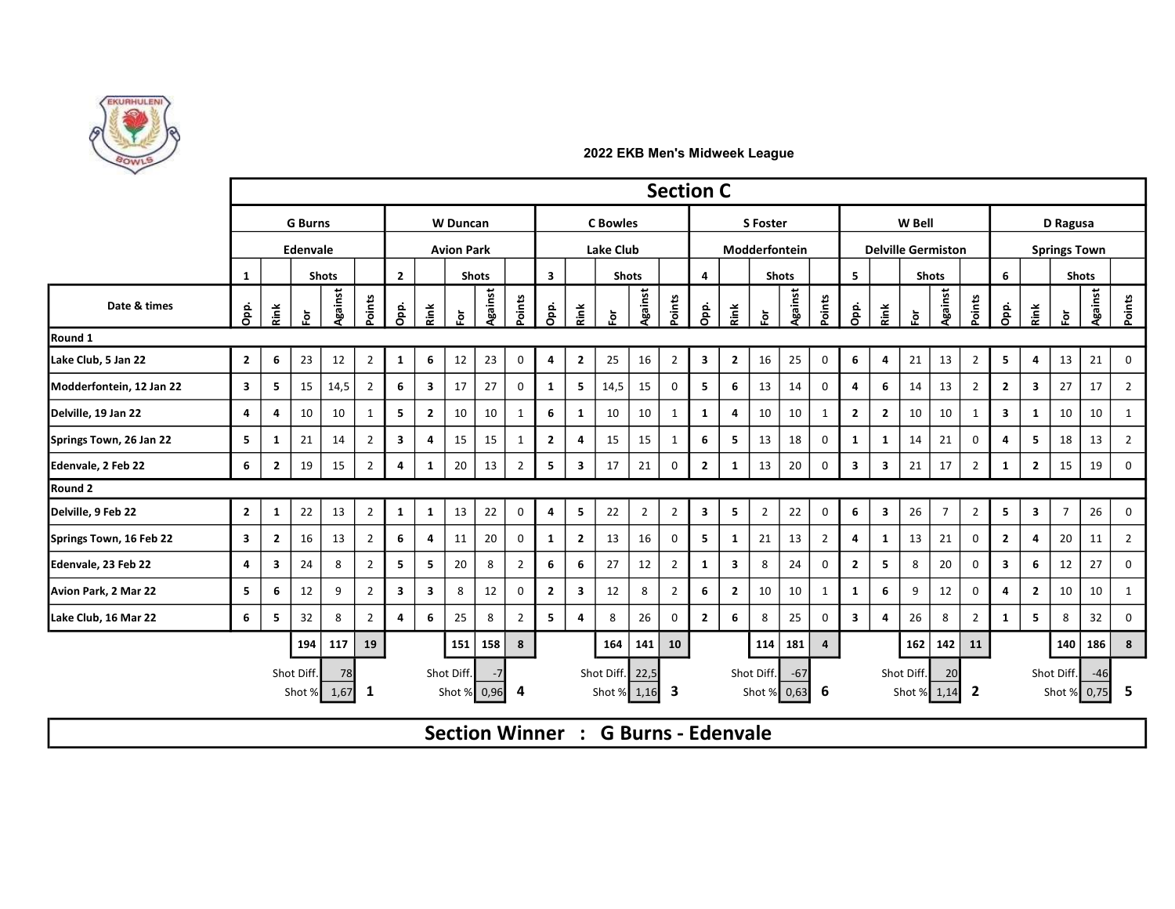

|                          |                         |                |                      |                |                |                         |                         |                 |                     |                |                         |                         |                                |                | <b>Section C</b> |                         |               |                      |               |                |                         |                           |                |                                    |                     |                         |                         |                |                      |                |
|--------------------------|-------------------------|----------------|----------------------|----------------|----------------|-------------------------|-------------------------|-----------------|---------------------|----------------|-------------------------|-------------------------|--------------------------------|----------------|------------------|-------------------------|---------------|----------------------|---------------|----------------|-------------------------|---------------------------|----------------|------------------------------------|---------------------|-------------------------|-------------------------|----------------|----------------------|----------------|
|                          |                         |                | <b>G</b> Burns       |                |                |                         |                         | <b>W</b> Duncan |                     |                |                         |                         | <b>C</b> Bowles                |                |                  |                         |               | <b>S</b> Foster      |               |                |                         |                           | W Bell         |                                    |                     |                         |                         | D Ragusa       |                      |                |
|                          | Edenvale                |                |                      |                |                | <b>Avion Park</b>       |                         |                 |                     |                |                         | <b>Lake Club</b>        |                                |                |                  |                         | Modderfontein |                      |               |                |                         | <b>Delville Germiston</b> |                |                                    | <b>Springs Town</b> |                         |                         |                |                      |                |
|                          | 1                       |                |                      | <b>Shots</b>   |                | $\overline{2}$          |                         |                 | <b>Shots</b>        |                | $\overline{\mathbf{3}}$ |                         |                                | <b>Shots</b>   |                  | 4                       |               |                      | <b>Shots</b>  |                | 5 <sup>1</sup>          |                           |                | <b>Shots</b>                       |                     | 6                       |                         |                | <b>Shots</b>         |                |
| Date & times             | Opp.                    | Rink           | ğ.                   | Against        | Points         | Opp.                    | Rink                    | Ğ.              | Against             | Points         | Opp.                    | Rink                    | ğ                              | Against        | Points           | Opp.                    | Rink          | Ğ.                   | Against       | Points         | opp.<br>O               | Rink                      | $\overline{5}$ | Against                            | Points              | Opp.                    | <b>Rink</b>             | Ğ.             | Against              | Points         |
| Round 1                  |                         |                |                      |                |                |                         |                         |                 |                     |                |                         |                         |                                |                |                  |                         |               |                      |               |                |                         |                           |                |                                    |                     |                         |                         |                |                      |                |
| Lake Club, 5 Jan 22      | $\overline{2}$          | 6              | 23                   | 12             | $\overline{2}$ | $\mathbf{1}$            | 6                       | 12              | 23                  | $\mathbf 0$    | 4                       | $\overline{2}$          | 25                             | 16             | $\overline{2}$   | $\overline{\mathbf{3}}$ | $\mathbf{2}$  | 16                   | 25            | 0              | 6                       | 4                         | 21             | 13                                 | $\overline{2}$      | 5                       | 4                       | 13             | 21                   | $\Omega$       |
| Modderfontein, 12 Jan 22 | $\overline{\mathbf{3}}$ | 5              | 15                   | 14,5           | $\overline{2}$ | 6                       | $\mathbf{3}$            | 17              | 27                  | 0              | 1                       | 5                       | 14,5                           | 15             | $\mathbf 0$      | 5 <sup>5</sup>          | 6             | 13                   | 14            | $\mathbf 0$    | 4                       | 6                         | 14             | 13                                 | $\overline{2}$      | $\overline{2}$          | $\overline{\mathbf{3}}$ | 27             | 17                   | $\overline{2}$ |
| Delville, 19 Jan 22      | 4                       | $\overline{4}$ | 10                   | 10             | $\mathbf{1}$   | 5                       | $\overline{2}$          | 10              | 10                  | 1              | 6                       | 1                       | 10                             | 10             | 1                | $\mathbf{1}$            | 4             | 10                   | 10            | 1              | $\overline{2}$          | $\overline{2}$            | 10             | 10                                 | 1                   | 3                       | 1                       | 10             | 10                   | 1              |
| Springs Town, 26 Jan 22  | 5 <sub>1</sub>          | 1              | 21                   | 14             | $\overline{2}$ | $\overline{\mathbf{3}}$ | 4                       | 15              | 15                  | 1              | $\mathbf{2}$            | $\overline{a}$          | 15                             | 15             | 1                | 6                       | 5             | 13                   | 18            | 0              | 1                       | $\mathbf{1}$              | 14             | 21                                 | $\mathbf 0$         | $\overline{4}$          | 5                       | 18             | 13                   | $\overline{2}$ |
| Edenvale, 2 Feb 22       | 6                       | $\overline{2}$ | 19                   | 15             | $\overline{2}$ | $\overline{4}$          | 1                       | 20              | 13                  | $\overline{2}$ | 5                       | $\overline{\mathbf{3}}$ | 17                             | 21             | $\mathbf 0$      | $\overline{2}$          | 1             | 13                   | 20            | 0              | $\mathbf{3}$            | $\overline{\mathbf{3}}$   | 21             | 17                                 | $\overline{2}$      | $\mathbf{1}$            | $\overline{2}$          | 15             | 19                   | 0              |
| Round 2                  |                         |                |                      |                |                |                         |                         |                 |                     |                |                         |                         |                                |                |                  |                         |               |                      |               |                |                         |                           |                |                                    |                     |                         |                         |                |                      |                |
| Delville, 9 Feb 22       | $\mathbf{2}$            | 1              | 22                   | 13             | $\overline{2}$ | $\mathbf{1}$            | $\mathbf{1}$            | 13              | 22                  | $\mathbf 0$    | 4                       | 5                       | 22                             | $\overline{2}$ | $\overline{2}$   | $\overline{\mathbf{3}}$ | 5             | $\overline{2}$       | 22            | $\mathbf 0$    | 6                       | $\overline{\mathbf{3}}$   | 26             | $\overline{7}$                     | $\overline{2}$      | 5                       | $\overline{\mathbf{3}}$ | $\overline{7}$ | 26                   | $\mathbf 0$    |
| Springs Town, 16 Feb 22  | $\overline{\mathbf{3}}$ | $\overline{2}$ | 16                   | 13             | 2              | 6                       | 4                       | 11              | 20                  | $\mathbf 0$    | -1                      | $\overline{2}$          | 13                             | 16             | $\mathbf 0$      | 5                       | $\mathbf{1}$  | 21                   | 13            | 2              | 4                       | 1                         | 13             | 21                                 | 0                   | $\overline{2}$          | 4                       | 20             | 11                   | $\overline{2}$ |
| Edenvale, 23 Feb 22      | $\overline{4}$          | 3              | 24                   | 8              | $\overline{2}$ | 5                       | 5                       | 20              | 8                   | $\overline{2}$ | 6                       | 6                       | 27                             | 12             | $\overline{2}$   | $\mathbf{1}$            | 3             | 8                    | 24            | 0              | $\overline{2}$          | 5                         | 8              | 20                                 | 0                   | $\overline{\mathbf{3}}$ | 6                       | 12             | 27                   | $\Omega$       |
| Avion Park, 2 Mar 22     | $\overline{\mathbf{5}}$ | 6              | 12                   | 9              | 2              | $\overline{\mathbf{3}}$ | $\overline{\mathbf{3}}$ | 8               | 12                  | $\mathbf 0$    | $\overline{2}$          | $\overline{\mathbf{3}}$ | 12                             | 8              | $\overline{2}$   | 6                       | $\mathbf{2}$  | 10                   | 10            | 1              | 1                       | 6                         | 9              | 12                                 | $\mathbf 0$         | 4                       | $\overline{2}$          | 10             | 10                   | 1              |
| Lake Club, 16 Mar 22     | 6                       | 5              | 32                   | 8              | $\overline{2}$ | $\overline{4}$          | 6                       | 25              | 8                   | $\overline{2}$ | 5                       | $\overline{a}$          | 8                              | 26             | 0                | $\overline{2}$          | 6             | 8                    | 25            | 0              | $\overline{\mathbf{3}}$ | 4                         | 26             | 8                                  | $\overline{2}$      | $\mathbf{1}$            | 5                       | 8              | 32                   | $\mathbf 0$    |
|                          |                         |                | 194                  | 117            | 19             |                         |                         | 151             | 158                 | 8              |                         |                         | 164                            | 141            | 10               |                         |               | 114                  | 181           | $\overline{4}$ |                         |                           |                | $162$ 142                          | 11                  |                         |                         | 140            | 186                  | 8              |
|                          |                         |                | Shot Diff.<br>Shot % | 78<br>$1,67$ 1 |                |                         |                         | Shot Diff.      | $-7$<br>Shot % 0,96 | -4             |                         |                         | Shot Diff. 22,5<br>Shot % 1,16 |                | 3                |                         |               | Shot Diff.<br>Shot % | $-67$<br>0,63 | - 6            |                         |                           | Shot Diff.     | 20 <sup>l</sup><br>Shot % $1,14$ 2 |                     |                         |                         | Shot Diff.     | $-46$<br>Shot % 0,75 | 5              |

Section Winner : G Burns - Edenvale